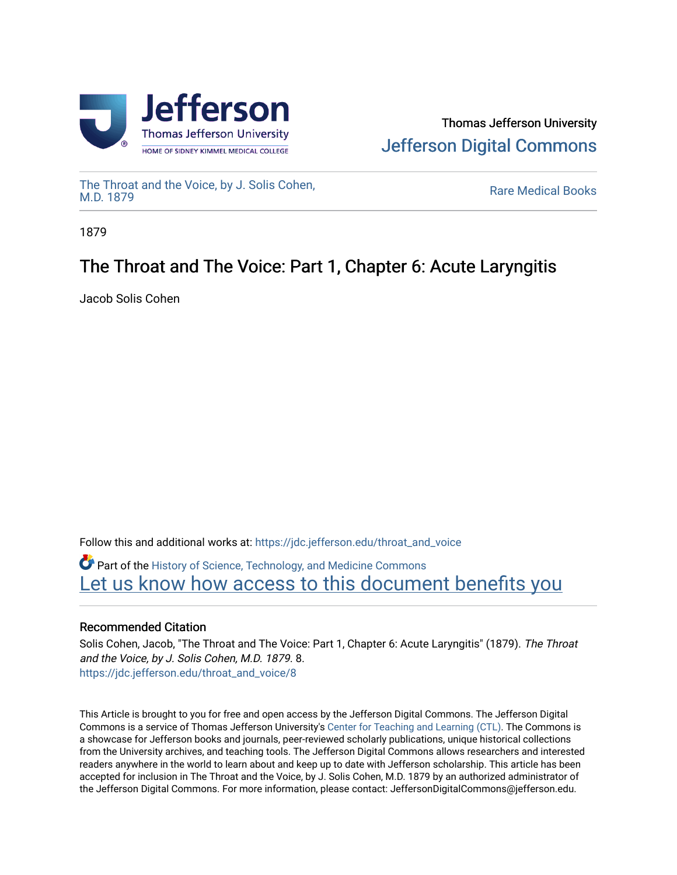



[The Throat and the Voice, by J. Solis Cohen,](https://jdc.jefferson.edu/throat_and_voice)

**Rare Medical Books** 

1879

# The Throat and The Voice: Part 1, Chapter 6: Acute Laryngitis

Jacob Solis Cohen

Follow this and additional works at: [https://jdc.jefferson.edu/throat\\_and\\_voice](https://jdc.jefferson.edu/throat_and_voice?utm_source=jdc.jefferson.edu%2Fthroat_and_voice%2F8&utm_medium=PDF&utm_campaign=PDFCoverPages) **P** Part of the History of Science, Technology, and Medicine Commons Let us know how access to this document benefits you

# Recommended Citation

Solis Cohen, Jacob, "The Throat and The Voice: Part 1, Chapter 6: Acute Laryngitis" (1879). The Throat and the Voice, by J. Solis Cohen, M.D. 1879. 8. [https://jdc.jefferson.edu/throat\\_and\\_voice/8](https://jdc.jefferson.edu/throat_and_voice/8?utm_source=jdc.jefferson.edu%2Fthroat_and_voice%2F8&utm_medium=PDF&utm_campaign=PDFCoverPages)

This Article is brought to you for free and open access by the Jefferson Digital Commons. The Jefferson Digital Commons is a service of Thomas Jefferson University's [Center for Teaching and Learning \(CTL\)](http://www.jefferson.edu/university/teaching-learning.html/). The Commons is a showcase for Jefferson books and journals, peer-reviewed scholarly publications, unique historical collections from the University archives, and teaching tools. The Jefferson Digital Commons allows researchers and interested readers anywhere in the world to learn about and keep up to date with Jefferson scholarship. This article has been accepted for inclusion in The Throat and the Voice, by J. Solis Cohen, M.D. 1879 by an authorized administrator of the Jefferson Digital Commons. For more information, please contact: JeffersonDigitalCommons@jefferson.edu.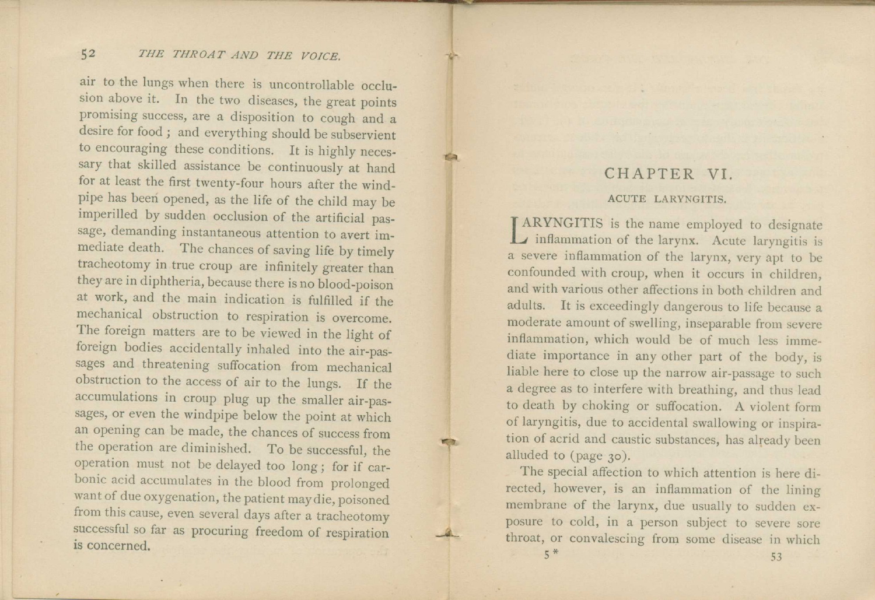air to the lungs when there is uncontrollable occlusion above it. In the two diseases, the great points promising success, are a disposition to cough and a desire for food ; and everything should be subservient to encouraging these conditions. It is highly necessary that skilled assistance be continuously at hand for at least the first twenty-four hours after the windpipe has been opened, as the life of the child may be imperilled by sudden occlusion of the artificial passage, demanding instantaneous attention to avert immediate death. The chances of saving life by timely tracheotomy in true croup are infinitely greater than they are in diphtheria, because there is no blood-poison at work, and the main indication is fulfilled if the mechanical obstruction to respiration is overcome. The foreign matters are to be viewed in the light of foreign bodies accidentally inhaled into the air-passages and threatening suffocation from mechanical obstruction to the access of air to the lungs. If the accumulations in croup plug up the smaller air-passages, or even the windpipe below the point at which an opening can be made, the chances of success from the operation are diminished. To be successful, the operation must not be delayed too long ; for if carbonic acid accumulates in the blood from prolonged want of due oxygenation, the patient may die, poisoned from this cause, even several days after a tracheotomy successful so far as procuring freedom of respiration is concerned.

## CHAPTER VI.

#### ACUTE LARYNGITIS.

**LAKYNGITIS** is the name employed to designate<br>inflammation of the larynx. Acute laryngitis is **A**RYNGITIS is the name employed to designate a severe inflammation of the larynx, very apt to be confounded with croup, when it occurs in children, and with various other affections in both children and adults. It is exceedingly dangerous to life because a moderate amount of swelling, inseparable from severe inflammation, which would be of much less immediate importance in any other part of the body, is liable here to close up the narrow air-passage to such a degree as to interfere with breathing, and thus lead to death by choking or suffocation. A violent form of laryngitis, due to accidental swallowing or inspiration of acrid and caustic substances, has already been alluded to (page 3o).

The special affection to which attention is here directed, however, is an inflammation of the lining membrane of the larynx, due usually to sudden exposure to cold, in a person subject to severe sore throat, or convalescing from some disease in which  $5<sup>*</sup>$  53

tia